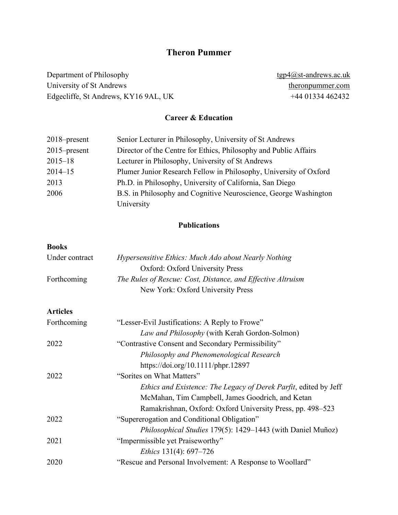# **Theron Pummer**

Department of [Philosophy](http://www.st-andrews.ac.uk/philosophy/) [tgp4@st-andrews.ac.uk](mailto:tgp4@st-andrews.ac.uk) University of St Andrews the University of St Andrews [theronpummer.com](http://theronpummer.com/) Edgecliffe, St Andrews, KY16 9AL, UK +44 01334 462432

## **Career & Education**

| $2018$ -present | Senior Lecturer in Philosophy, University of St Andrews           |
|-----------------|-------------------------------------------------------------------|
| $2015$ -present | Director of the Centre for Ethics, Philosophy and Public Affairs  |
| $2015 - 18$     | Lecturer in Philosophy, University of St Andrews                  |
| $2014 - 15$     | Plumer Junior Research Fellow in Philosophy, University of Oxford |
| 2013            | Ph.D. in Philosophy, University of California, San Diego          |
| 2006            | B.S. in Philosophy and Cognitive Neuroscience, George Washington  |
|                 | University                                                        |

### **Publications**

#### **Books**

| Under contract  | Hypersensitive Ethics: Much Ado about Nearly Nothing               |
|-----------------|--------------------------------------------------------------------|
|                 | <b>Oxford: Oxford University Press</b>                             |
| Forthcoming     | The Rules of Rescue: Cost, Distance, and Effective Altruism        |
|                 | New York: Oxford University Press                                  |
| <b>Articles</b> |                                                                    |
| Forthcoming     | "Lesser-Evil Justifications: A Reply to Frowe"                     |
|                 | Law and Philosophy (with Kerah Gordon-Solmon)                      |
| 2022            | "Contrastive Consent and Secondary Permissibility"                 |
|                 | Philosophy and Phenomenological Research                           |
|                 | https://doi.org/10.1111/phpr.12897                                 |
| 2022            | "Sorites on What Matters"                                          |
|                 | Ethics and Existence: The Legacy of Derek Parfit, edited by Jeff   |
|                 | McMahan, Tim Campbell, James Goodrich, and Ketan                   |
|                 | Ramakrishnan, Oxford: Oxford University Press, pp. 498–523         |
| 2022            | "Supererogation and Conditional Obligation"                        |
|                 | <i>Philosophical Studies</i> 179(5): 1429–1443 (with Daniel Muñoz) |
| 2021            | "Impermissible yet Praiseworthy"                                   |
|                 | <i>Ethics</i> 131(4): 697–726                                      |
| 2020            | "Rescue and Personal Involvement: A Response to Woollard"          |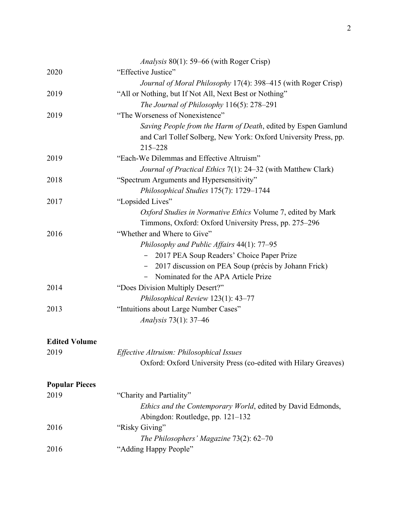|                       | <i>Analysis</i> 80(1): 59–66 (with Roger Crisp)                        |
|-----------------------|------------------------------------------------------------------------|
| 2020                  | "Effective Justice"                                                    |
|                       | Journal of Moral Philosophy 17(4): 398–415 (with Roger Crisp)          |
| 2019                  | "All or Nothing, but If Not All, Next Best or Nothing"                 |
|                       | The Journal of Philosophy $116(5)$ : 278-291                           |
| 2019                  | "The Worseness of Nonexistence"                                        |
|                       | Saving People from the Harm of Death, edited by Espen Gamlund          |
|                       | and Carl Tollef Solberg, New York: Oxford University Press, pp.        |
|                       | $215 - 228$                                                            |
| 2019                  | "Each-We Dilemmas and Effective Altruism"                              |
|                       | Journal of Practical Ethics 7(1): 24–32 (with Matthew Clark)           |
| 2018                  | "Spectrum Arguments and Hypersensitivity"                              |
|                       | Philosophical Studies 175(7): 1729-1744                                |
| 2017                  | "Lopsided Lives"                                                       |
|                       | Oxford Studies in Normative Ethics Volume 7, edited by Mark            |
|                       | Timmons, Oxford: Oxford University Press, pp. 275–296                  |
| 2016                  | "Whether and Where to Give"                                            |
|                       | Philosophy and Public Affairs 44(1): 77–95                             |
|                       | 2017 PEA Soup Readers' Choice Paper Prize                              |
|                       | 2017 discussion on PEA Soup (précis by Johann Frick)<br>$\blacksquare$ |
|                       | Nominated for the APA Article Prize                                    |
| 2014                  | "Does Division Multiply Desert?"                                       |
|                       | Philosophical Review 123(1): 43-77                                     |
| 2013                  | "Intuitions about Large Number Cases"                                  |
|                       | <i>Analysis</i> 73(1): 37–46                                           |
| <b>Edited Volume</b>  |                                                                        |
| 2019                  | Effective Altruism: Philosophical Issues                               |
|                       | Oxford: Oxford University Press (co-edited with Hilary Greaves)        |
| <b>Popular Pieces</b> |                                                                        |
| 2019                  | "Charity and Partiality"                                               |
|                       | Ethics and the Contemporary World, edited by David Edmonds,            |
|                       | Abingdon: Routledge, pp. 121–132                                       |
| 2016                  | "Risky Giving"                                                         |
|                       | The Philosophers' Magazine $73(2)$ : 62-70                             |
| 2016                  | "Adding Happy People"                                                  |
|                       |                                                                        |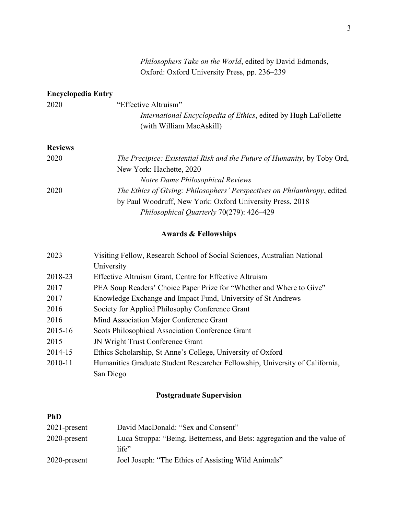## **Encyclopedia Entry**

| 2020 | "Effective Altruism"                                            |
|------|-----------------------------------------------------------------|
|      | International Encyclopedia of Ethics, edited by Hugh LaFollette |
|      | (with William MacAskill)                                        |

## **Reviews**

| The Precipice: Existential Risk and the Future of Humanity, by Toby Ord, |
|--------------------------------------------------------------------------|
| New York: Hachette, 2020                                                 |
| Notre Dame Philosophical Reviews                                         |
| The Ethics of Giving: Philosophers' Perspectives on Philanthropy, edited |
| by Paul Woodruff, New York: Oxford University Press, 2018                |
| Philosophical Quarterly 70(279): 426–429                                 |
|                                                                          |

## **Awards & Fellowships**

| 2023    | Visiting Fellow, Research School of Social Sciences, Australian National     |
|---------|------------------------------------------------------------------------------|
|         | University                                                                   |
| 2018-23 | Effective Altruism Grant, Centre for Effective Altruism                      |
| 2017    | PEA Soup Readers' Choice Paper Prize for "Whether and Where to Give"         |
| 2017    | Knowledge Exchange and Impact Fund, University of St Andrews                 |
| 2016    | Society for Applied Philosophy Conference Grant                              |
| 2016    | Mind Association Major Conference Grant                                      |
| 2015-16 | Scots Philosophical Association Conference Grant                             |
| 2015    | JN Wright Trust Conference Grant                                             |
| 2014-15 | Ethics Scholarship, St Anne's College, University of Oxford                  |
| 2010-11 | Humanities Graduate Student Researcher Fellowship, University of California, |
|         | San Diego                                                                    |

## **Postgraduate Supervision**

## **PhD**

| $2021$ -present | David MacDonald: "Sex and Consent"                                                      |
|-----------------|-----------------------------------------------------------------------------------------|
| 2020-present    | Luca Stroppa: "Being, Betterness, and Bets: aggregation and the value of<br>$l$ ife $"$ |
| 2020-present    | Joel Joseph: "The Ethics of Assisting Wild Animals"                                     |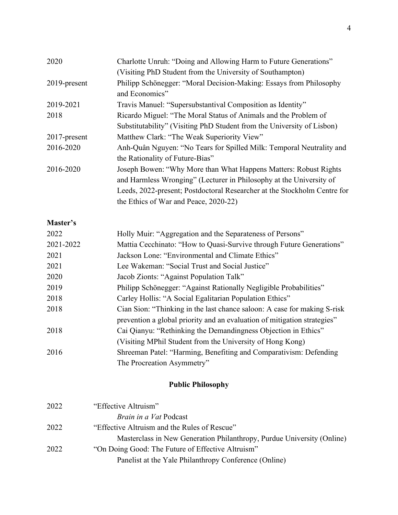| 2020            | Charlotte Unruh: "Doing and Allowing Harm to Future Generations"         |
|-----------------|--------------------------------------------------------------------------|
|                 | (Visiting PhD Student from the University of Southampton)                |
| 2019-present    | Philipp Schönegger: "Moral Decision-Making: Essays from Philosophy       |
|                 | and Economics"                                                           |
| 2019-2021       | Travis Manuel: "Supersubstantival Composition as Identity"               |
| 2018            | Ricardo Miguel: "The Moral Status of Animals and the Problem of          |
|                 | Substitutability" (Visiting PhD Student from the University of Lisbon)   |
| $2017$ -present | Matthew Clark: "The Weak Superiority View"                               |
| 2016-2020       | Anh-Quân Nguyen: "No Tears for Spilled Milk: Temporal Neutrality and     |
|                 | the Rationality of Future-Bias"                                          |
| 2016-2020       | Joseph Bowen: "Why More than What Happens Matters: Robust Rights         |
|                 | and Harmless Wronging" (Lecturer in Philosophy at the University of      |
|                 | Leeds, 2022-present; Postdoctoral Researcher at the Stockholm Centre for |
|                 | the Ethics of War and Peace, 2020-22)                                    |
|                 |                                                                          |

# **Master's**

| 2022      | Holly Muir: "Aggregation and the Separateness of Persons"                |
|-----------|--------------------------------------------------------------------------|
| 2021-2022 | Mattia Cecchinato: "How to Quasi-Survive through Future Generations"     |
| 2021      | Jackson Lone: "Environmental and Climate Ethics"                         |
| 2021      | Lee Wakeman: "Social Trust and Social Justice"                           |
| 2020      | Jacob Zionts: "Against Population Talk"                                  |
| 2019      | Philipp Schönegger: "Against Rationally Negligible Probabilities"        |
| 2018      | Carley Hollis: "A Social Egalitarian Population Ethics"                  |
| 2018      | Cian Sion: "Thinking in the last chance saloon: A case for making S-risk |
|           | prevention a global priority and an evaluation of mitigation strategies" |
| 2018      | Cai Qianyu: "Rethinking the Demandingness Objection in Ethics"           |
|           | (Visiting MPhil Student from the University of Hong Kong)                |
| 2016      | Shreeman Patel: "Harming, Benefiting and Comparativism: Defending        |
|           | The Procreation Asymmetry"                                               |
|           |                                                                          |

# **Public Philosophy**

| 2022 | "Effective Altruism"                                                   |
|------|------------------------------------------------------------------------|
|      | Brain in a Vat Podcast                                                 |
| 2022 | "Effective Altruism and the Rules of Rescue"                           |
|      | Masterclass in New Generation Philanthropy, Purdue University (Online) |
| 2022 | "On Doing Good: The Future of Effective Altruism"                      |
|      | Panelist at the Yale Philanthropy Conference (Online)                  |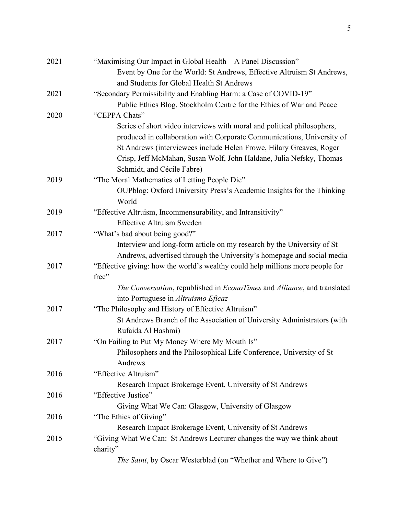| 2021 | "Maximising Our Impact in Global Health—A Panel Discussion"                    |
|------|--------------------------------------------------------------------------------|
|      | Event by One for the World: St Andrews, Effective Altruism St Andrews,         |
|      | and Students for Global Health St Andrews                                      |
| 2021 | "Secondary Permissibility and Enabling Harm: a Case of COVID-19"               |
|      | Public Ethics Blog, Stockholm Centre for the Ethics of War and Peace           |
| 2020 | "CEPPA Chats"                                                                  |
|      | Series of short video interviews with moral and political philosophers,        |
|      | produced in collaboration with Corporate Communications, University of         |
|      | St Andrews (interviewees include Helen Frowe, Hilary Greaves, Roger            |
|      | Crisp, Jeff McMahan, Susan Wolf, John Haldane, Julia Nefsky, Thomas            |
|      | Schmidt, and Cécile Fabre)                                                     |
| 2019 | "The Moral Mathematics of Letting People Die"                                  |
|      | OUPblog: Oxford University Press's Academic Insights for the Thinking          |
|      | World                                                                          |
| 2019 | "Effective Altruism, Incommensurability, and Intransitivity"                   |
|      | <b>Effective Altruism Sweden</b>                                               |
| 2017 | "What's bad about being good?"                                                 |
|      | Interview and long-form article on my research by the University of St         |
|      | Andrews, advertised through the University's homepage and social media         |
| 2017 | "Effective giving: how the world's wealthy could help millions more people for |
|      | free"                                                                          |
|      | The Conversation, republished in EconoTimes and Alliance, and translated       |
|      | into Portuguese in Altruismo Eficaz                                            |
| 2017 | "The Philosophy and History of Effective Altruism"                             |
|      | St Andrews Branch of the Association of University Administrators (with        |
|      | Rufaida Al Hashmi)                                                             |
| 2017 | "On Failing to Put My Money Where My Mouth Is"                                 |
|      | Philosophers and the Philosophical Life Conference, University of St           |
|      | Andrews                                                                        |
| 2016 | "Effective Altruism"                                                           |
|      | Research Impact Brokerage Event, University of St Andrews                      |
| 2016 | "Effective Justice"                                                            |
|      | Giving What We Can: Glasgow, University of Glasgow                             |
| 2016 | "The Ethics of Giving"                                                         |
|      | Research Impact Brokerage Event, University of St Andrews                      |
| 2015 | "Giving What We Can: St Andrews Lecturer changes the way we think about        |
|      | charity"                                                                       |
|      | The Saint, by Oscar Westerblad (on "Whether and Where to Give")                |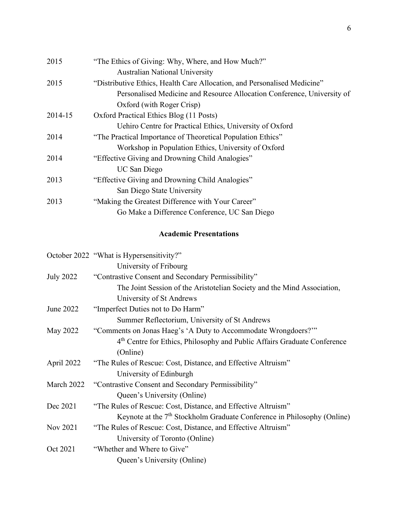| 2015    | "The Ethics of Giving: Why, Where, and How Much?"                        |
|---------|--------------------------------------------------------------------------|
|         | <b>Australian National University</b>                                    |
| 2015    | "Distributive Ethics, Health Care Allocation, and Personalised Medicine" |
|         | Personalised Medicine and Resource Allocation Conference, University of  |
|         | Oxford (with Roger Crisp)                                                |
| 2014-15 | Oxford Practical Ethics Blog (11 Posts)                                  |
|         | Uehiro Centre for Practical Ethics, University of Oxford                 |
| 2014    | "The Practical Importance of Theoretical Population Ethics"              |
|         | Workshop in Population Ethics, University of Oxford                      |
| 2014    | "Effective Giving and Drowning Child Analogies"                          |
|         | UC San Diego                                                             |
| 2013    | "Effective Giving and Drowning Child Analogies"                          |
|         | San Diego State University                                               |
| 2013    | "Making the Greatest Difference with Your Career"                        |
|         | Go Make a Difference Conference, UC San Diego                            |
|         |                                                                          |

# **Academic Presentations**

|                  | October 2022 "What is Hypersensitivity?"                                             |
|------------------|--------------------------------------------------------------------------------------|
|                  | University of Fribourg                                                               |
| <b>July 2022</b> | "Contrastive Consent and Secondary Permissibility"                                   |
|                  | The Joint Session of the Aristotelian Society and the Mind Association,              |
|                  | University of St Andrews                                                             |
| June 2022        | "Imperfect Duties not to Do Harm"                                                    |
|                  | Summer Reflectorium, University of St Andrews                                        |
| May 2022         | "Comments on Jonas Haeg's 'A Duty to Accommodate Wrongdoers?""                       |
|                  | 4 <sup>th</sup> Centre for Ethics, Philosophy and Public Affairs Graduate Conference |
|                  | (Online)                                                                             |
| April 2022       | "The Rules of Rescue: Cost, Distance, and Effective Altruism"                        |
|                  | University of Edinburgh                                                              |
| March 2022       | "Contrastive Consent and Secondary Permissibility"                                   |
|                  | Queen's University (Online)                                                          |
| Dec 2021         | "The Rules of Rescue: Cost, Distance, and Effective Altruism"                        |
|                  | Keynote at the $7th$ Stockholm Graduate Conference in Philosophy (Online)            |
| Nov 2021         | "The Rules of Rescue: Cost, Distance, and Effective Altruism"                        |
|                  | University of Toronto (Online)                                                       |
| Oct 2021         | "Whether and Where to Give"                                                          |
|                  | Queen's University (Online)                                                          |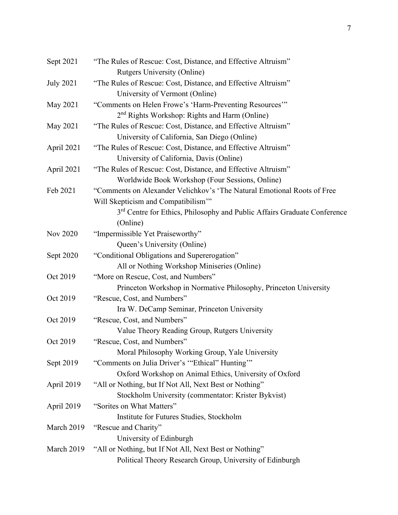| Sept 2021        | "The Rules of Rescue: Cost, Distance, and Effective Altruism"                                   |
|------------------|-------------------------------------------------------------------------------------------------|
|                  | <b>Rutgers University (Online)</b>                                                              |
| <b>July 2021</b> | "The Rules of Rescue: Cost, Distance, and Effective Altruism"<br>University of Vermont (Online) |
|                  |                                                                                                 |
| May 2021         | "Comments on Helen Frowe's 'Harm-Preventing Resources'"                                         |
|                  | 2 <sup>nd</sup> Rights Workshop: Rights and Harm (Online)                                       |
| May 2021         | "The Rules of Rescue: Cost, Distance, and Effective Altruism"                                   |
|                  | University of California, San Diego (Online)                                                    |
| April 2021       | "The Rules of Rescue: Cost, Distance, and Effective Altruism"                                   |
|                  | University of California, Davis (Online)                                                        |
| April 2021       | "The Rules of Rescue: Cost, Distance, and Effective Altruism"                                   |
|                  | Worldwide Book Workshop (Four Sessions, Online)                                                 |
| Feb 2021         | "Comments on Alexander Velichkov's 'The Natural Emotional Roots of Free                         |
|                  | Will Skepticism and Compatibilism"                                                              |
|                  | 3 <sup>rd</sup> Centre for Ethics, Philosophy and Public Affairs Graduate Conference            |
|                  | (Online)                                                                                        |
| Nov 2020         | "Impermissible Yet Praiseworthy"                                                                |
|                  | Queen's University (Online)                                                                     |
| Sept 2020        | "Conditional Obligations and Supererogation"                                                    |
|                  | All or Nothing Workshop Miniseries (Online)                                                     |
| Oct 2019         | "More on Rescue, Cost, and Numbers"                                                             |
|                  | Princeton Workshop in Normative Philosophy, Princeton University                                |
| Oct 2019         | "Rescue, Cost, and Numbers"                                                                     |
|                  | Ira W. DeCamp Seminar, Princeton University                                                     |
| Oct 2019         | "Rescue, Cost, and Numbers"                                                                     |
|                  | Value Theory Reading Group, Rutgers University                                                  |
| Oct 2019         | "Rescue, Cost, and Numbers"                                                                     |
|                  | Moral Philosophy Working Group, Yale University                                                 |
| Sept 2019        | "Comments on Julia Driver's "Ethical" Hunting"                                                  |
|                  | Oxford Workshop on Animal Ethics, University of Oxford                                          |
| April 2019       | "All or Nothing, but If Not All, Next Best or Nothing"                                          |
|                  | Stockholm University (commentator: Krister Bykvist)                                             |
| April 2019       | "Sorites on What Matters"                                                                       |
|                  | Institute for Futures Studies, Stockholm                                                        |
| March 2019       | "Rescue and Charity"                                                                            |
|                  | University of Edinburgh                                                                         |
| March 2019       | "All or Nothing, but If Not All, Next Best or Nothing"                                          |
|                  | Political Theory Research Group, University of Edinburgh                                        |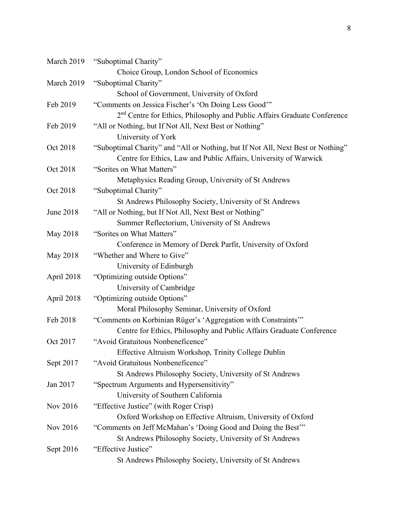| March 2019 | "Suboptimal Charity"                                                                 |
|------------|--------------------------------------------------------------------------------------|
|            | Choice Group, London School of Economics                                             |
| March 2019 | "Suboptimal Charity"                                                                 |
|            | School of Government, University of Oxford                                           |
| Feb 2019   | "Comments on Jessica Fischer's 'On Doing Less Good""                                 |
|            | 2 <sup>nd</sup> Centre for Ethics, Philosophy and Public Affairs Graduate Conference |
| Feb 2019   | "All or Nothing, but If Not All, Next Best or Nothing"                               |
|            | University of York                                                                   |
| Oct 2018   | "Suboptimal Charity" and "All or Nothing, but If Not All, Next Best or Nothing"      |
|            | Centre for Ethics, Law and Public Affairs, University of Warwick                     |
| Oct 2018   | "Sorites on What Matters"                                                            |
|            | Metaphysics Reading Group, University of St Andrews                                  |
| Oct 2018   | "Suboptimal Charity"                                                                 |
|            | St Andrews Philosophy Society, University of St Andrews                              |
| June 2018  | "All or Nothing, but If Not All, Next Best or Nothing"                               |
|            | Summer Reflectorium, University of St Andrews                                        |
| May 2018   | "Sorites on What Matters"                                                            |
|            | Conference in Memory of Derek Parfit, University of Oxford                           |
| May 2018   | "Whether and Where to Give"                                                          |
|            | University of Edinburgh                                                              |
| April 2018 | "Optimizing outside Options"                                                         |
|            | University of Cambridge                                                              |
| April 2018 | "Optimizing outside Options"                                                         |
|            | Moral Philosophy Seminar, University of Oxford                                       |
| Feb 2018   | "Comments on Korbinian Rüger's 'Aggregation with Constraints""                       |
|            | Centre for Ethics, Philosophy and Public Affairs Graduate Conference                 |
| Oct 2017   | "Avoid Gratuitous Nonbeneficence"                                                    |
|            | Effective Altruism Workshop, Trinity College Dublin                                  |
| Sept 2017  | "Avoid Gratuitous Nonbeneficence"                                                    |
|            | St Andrews Philosophy Society, University of St Andrews                              |
| Jan 2017   | "Spectrum Arguments and Hypersensitivity"                                            |
|            | University of Southern California                                                    |
| Nov 2016   | "Effective Justice" (with Roger Crisp)                                               |
|            | Oxford Workshop on Effective Altruism, University of Oxford                          |
| Nov 2016   | "Comments on Jeff McMahan's 'Doing Good and Doing the Best"                          |
|            | St Andrews Philosophy Society, University of St Andrews                              |
| Sept 2016  | "Effective Justice"                                                                  |
|            | St Andrews Philosophy Society, University of St Andrews                              |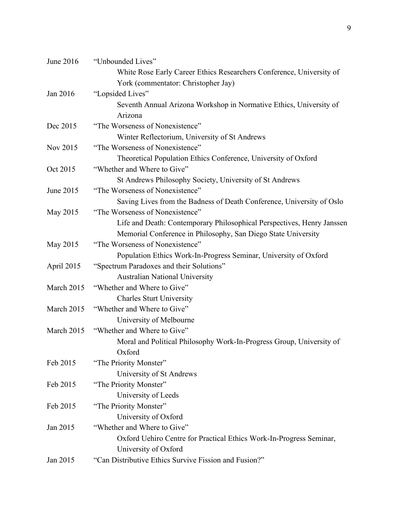| June 2016  | "Unbounded Lives"                                                      |
|------------|------------------------------------------------------------------------|
|            | White Rose Early Career Ethics Researchers Conference, University of   |
|            | York (commentator: Christopher Jay)                                    |
| Jan 2016   | "Lopsided Lives"                                                       |
|            | Seventh Annual Arizona Workshop in Normative Ethics, University of     |
|            | Arizona                                                                |
| Dec 2015   | "The Worseness of Nonexistence"                                        |
|            | Winter Reflectorium, University of St Andrews                          |
| Nov 2015   | "The Worseness of Nonexistence"                                        |
|            | Theoretical Population Ethics Conference, University of Oxford         |
| Oct 2015   | "Whether and Where to Give"                                            |
|            | St Andrews Philosophy Society, University of St Andrews                |
| June 2015  | "The Worseness of Nonexistence"                                        |
|            | Saving Lives from the Badness of Death Conference, University of Oslo  |
| May 2015   | "The Worseness of Nonexistence"                                        |
|            | Life and Death: Contemporary Philosophical Perspectives, Henry Janssen |
|            | Memorial Conference in Philosophy, San Diego State University          |
| May 2015   | "The Worseness of Nonexistence"                                        |
|            | Population Ethics Work-In-Progress Seminar, University of Oxford       |
| April 2015 | "Spectrum Paradoxes and their Solutions"                               |
|            | <b>Australian National University</b>                                  |
| March 2015 | "Whether and Where to Give"                                            |
|            | <b>Charles Sturt University</b>                                        |
| March 2015 | "Whether and Where to Give"                                            |
|            | University of Melbourne                                                |
| March 2015 | "Whether and Where to Give"                                            |
|            | Moral and Political Philosophy Work-In-Progress Group, University of   |
|            | Oxford                                                                 |
| Feb 2015   | "The Priority Monster"                                                 |
|            | University of St Andrews                                               |
| Feb 2015   | "The Priority Monster"                                                 |
|            | University of Leeds                                                    |
| Feb 2015   | "The Priority Monster"                                                 |
|            | University of Oxford                                                   |
| Jan 2015   | "Whether and Where to Give"                                            |
|            | Oxford Uehiro Centre for Practical Ethics Work-In-Progress Seminar,    |
|            | University of Oxford                                                   |
| Jan 2015   | "Can Distributive Ethics Survive Fission and Fusion?"                  |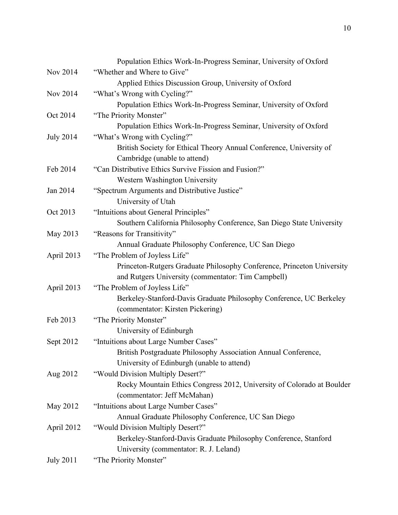|                  | Population Ethics Work-In-Progress Seminar, University of Oxford       |
|------------------|------------------------------------------------------------------------|
| Nov 2014         | "Whether and Where to Give"                                            |
|                  | Applied Ethics Discussion Group, University of Oxford                  |
| Nov 2014         | "What's Wrong with Cycling?"                                           |
|                  | Population Ethics Work-In-Progress Seminar, University of Oxford       |
| Oct 2014         | "The Priority Monster"                                                 |
|                  | Population Ethics Work-In-Progress Seminar, University of Oxford       |
| <b>July 2014</b> | "What's Wrong with Cycling?"                                           |
|                  | British Society for Ethical Theory Annual Conference, University of    |
|                  | Cambridge (unable to attend)                                           |
| Feb 2014         | "Can Distributive Ethics Survive Fission and Fusion?"                  |
|                  | Western Washington University                                          |
| Jan 2014         | "Spectrum Arguments and Distributive Justice"                          |
|                  | University of Utah                                                     |
| Oct 2013         | "Intuitions about General Principles"                                  |
|                  | Southern California Philosophy Conference, San Diego State University  |
| May 2013         | "Reasons for Transitivity"                                             |
|                  | Annual Graduate Philosophy Conference, UC San Diego                    |
| April 2013       | "The Problem of Joyless Life"                                          |
|                  | Princeton-Rutgers Graduate Philosophy Conference, Princeton University |
|                  | and Rutgers University (commentator: Tim Campbell)                     |
| April 2013       | "The Problem of Joyless Life"                                          |
|                  | Berkeley-Stanford-Davis Graduate Philosophy Conference, UC Berkeley    |
|                  | (commentator: Kirsten Pickering)                                       |
| Feb 2013         | "The Priority Monster"                                                 |
|                  | University of Edinburgh                                                |
| Sept 2012        | "Intuitions about Large Number Cases"                                  |
|                  | British Postgraduate Philosophy Association Annual Conference,         |
|                  | University of Edinburgh (unable to attend)                             |
| Aug 2012         | "Would Division Multiply Desert?"                                      |
|                  | Rocky Mountain Ethics Congress 2012, University of Colorado at Boulder |
|                  | (commentator: Jeff McMahan)                                            |
| May 2012         | "Intuitions about Large Number Cases"                                  |
|                  | Annual Graduate Philosophy Conference, UC San Diego                    |
| April 2012       | "Would Division Multiply Desert?"                                      |
|                  | Berkeley-Stanford-Davis Graduate Philosophy Conference, Stanford       |
|                  | University (commentator: R. J. Leland)                                 |
| <b>July 2011</b> | "The Priority Monster"                                                 |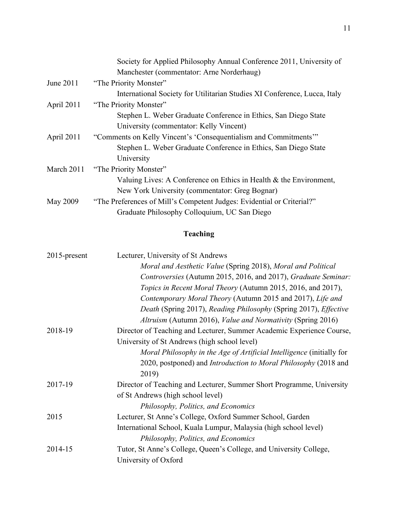|            | Society for Applied Philosophy Annual Conference 2011, University of      |
|------------|---------------------------------------------------------------------------|
|            | Manchester (commentator: Arne Norderhaug)                                 |
| June 2011  | "The Priority Monster"                                                    |
|            | International Society for Utilitarian Studies XI Conference, Lucca, Italy |
| April 2011 | "The Priority Monster"                                                    |
|            | Stephen L. Weber Graduate Conference in Ethics, San Diego State           |
|            | University (commentator: Kelly Vincent)                                   |
| April 2011 | "Comments on Kelly Vincent's 'Consequentialism and Commitments"           |
|            | Stephen L. Weber Graduate Conference in Ethics, San Diego State           |
|            | University                                                                |
| March 2011 | "The Priority Monster"                                                    |
|            | Valuing Lives: A Conference on Ethics in Health & the Environment,        |
|            | New York University (commentator: Greg Bognar)                            |
| May 2009   | "The Preferences of Mill's Competent Judges: Evidential or Criterial?"    |
|            | Graduate Philosophy Colloquium, UC San Diego                              |
|            |                                                                           |

# **Teaching**

| $2015$ -present | Lecturer, University of St Andrews                                     |
|-----------------|------------------------------------------------------------------------|
|                 | Moral and Aesthetic Value (Spring 2018), Moral and Political           |
|                 | Controversies (Autumn 2015, 2016, and 2017), Graduate Seminar:         |
|                 | Topics in Recent Moral Theory (Autumn 2015, 2016, and 2017),           |
|                 | Contemporary Moral Theory (Autumn 2015 and 2017), Life and             |
|                 | Death (Spring 2017), Reading Philosophy (Spring 2017), Effective       |
|                 | Altruism (Autumn 2016), Value and Normativity (Spring 2016)            |
| 2018-19         | Director of Teaching and Lecturer, Summer Academic Experience Course,  |
|                 | University of St Andrews (high school level)                           |
|                 | Moral Philosophy in the Age of Artificial Intelligence (initially for  |
|                 | 2020, postponed) and <i>Introduction to Moral Philosophy</i> (2018 and |
|                 | 2019)                                                                  |
| 2017-19         | Director of Teaching and Lecturer, Summer Short Programme, University  |
|                 | of St Andrews (high school level)                                      |
|                 | Philosophy, Politics, and Economics                                    |
| 2015            | Lecturer, St Anne's College, Oxford Summer School, Garden              |
|                 | International School, Kuala Lumpur, Malaysia (high school level)       |
|                 | Philosophy, Politics, and Economics                                    |
| 2014-15         | Tutor, St Anne's College, Queen's College, and University College,     |
|                 | University of Oxford                                                   |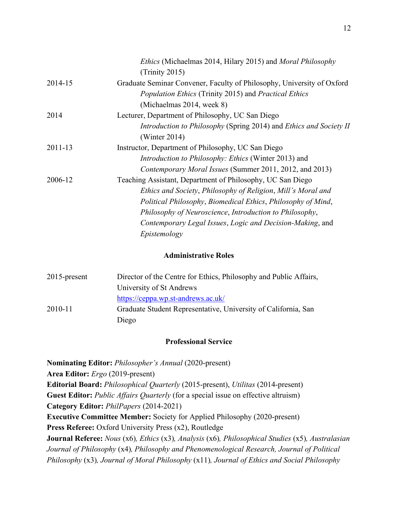|         | <i>Ethics</i> (Michaelmas 2014, Hilary 2015) and <i>Moral Philosophy</i> |
|---------|--------------------------------------------------------------------------|
|         | (Trinity 2015)                                                           |
| 2014-15 | Graduate Seminar Convener, Faculty of Philosophy, University of Oxford   |
|         | Population Ethics (Trinity 2015) and Practical Ethics                    |
|         | (Michaelmas 2014, week 8)                                                |
| 2014    | Lecturer, Department of Philosophy, UC San Diego                         |
|         | Introduction to Philosophy (Spring 2014) and Ethics and Society II       |
|         | (Winter $2014$ )                                                         |
| 2011-13 | Instructor, Department of Philosophy, UC San Diego                       |
|         | <i>Introduction to Philosophy: Ethics</i> (Winter 2013) and              |
|         | Contemporary Moral Issues (Summer 2011, 2012, and 2013)                  |
| 2006-12 | Teaching Assistant, Department of Philosophy, UC San Diego               |
|         | Ethics and Society, Philosophy of Religion, Mill's Moral and             |
|         | Political Philosophy, Biomedical Ethics, Philosophy of Mind,             |
|         | Philosophy of Neuroscience, Introduction to Philosophy,                  |
|         | Contemporary Legal Issues, Logic and Decision-Making, and                |
|         | Epistemology                                                             |

#### **Administrative Roles**

| $2015$ -present | Director of the Centre for Ethics, Philosophy and Public Affairs, |
|-----------------|-------------------------------------------------------------------|
|                 | University of St Andrews                                          |
|                 | https://ceppa.wp.st-andrews.ac.uk/                                |
| 2010-11         | Graduate Student Representative, University of California, San    |
|                 | Diego                                                             |

#### **Professional Service**

**Nominating Editor:** *Philosopher's Annual* (2020-present) **Area Editor:** *Ergo* (2019-present) **Editorial Board:** *Philosophical Quarterly* (2015-present), *Utilitas* (2014-present) **Guest Editor:** *Public Affairs Quarterly* (for a special issue on effective altruism) **Category Editor:** *PhilPapers* (2014-2021) **Executive Committee Member:** Society for Applied Philosophy (2020-present) **Press Referee:** Oxford University Press (x2), Routledge **Journal Referee:** *Nous* (x6)*, Ethics* (x3)*, Analysis* (x6)*, Philosophical Studies* (x5)*, Australasian Journal of Philosophy* (x4)*, Philosophy and Phenomenological Research, Journal of Political Philosophy* (x3)*, Journal of Moral Philosophy* (x11)*, Journal of Ethics and Social Philosophy*